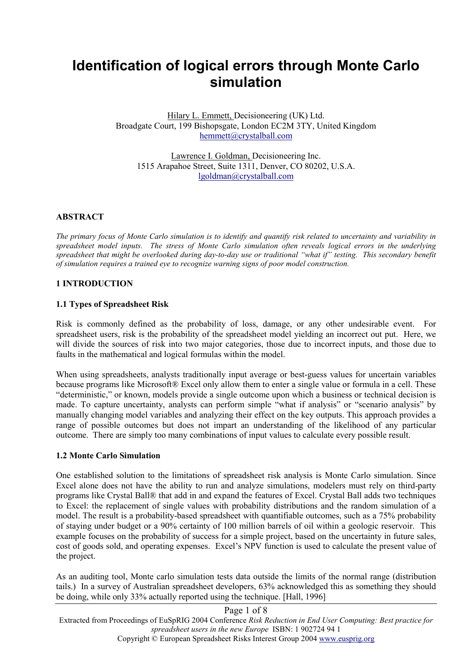# **Identification of logical errors through Monte Carlo simulation**

Hilary L. Emmett, Decisioneering (UK) Ltd. Broadgate Court, 199 Bishopsgate, London EC2M 3TY, United Kingdom hemmett@crystalball.com

Lawrence I. Goldman, Decisioneering Inc. 1515 Arapahoe Street, Suite 1311, Denver, CO 80202, U.S.A. lgoldman@crystalball.com

#### **ABSTRACT**

*The primary focus of Monte Carlo simulation is to identify and quantify risk related to uncertainty and variability in spreadsheet model inputs. The stress of Monte Carlo simulation often reveals logical errors in the underlying spreadsheet that might be overlooked during day-to-day use or traditional "what if" testing. This secondary benefit of simulation requires a trained eye to recognize warning signs of poor model construction.* 

#### **1 INTRODUCTION**

#### **1.1 Types of Spreadsheet Risk**

Risk is commonly defined as the probability of loss, damage, or any other undesirable event. For spreadsheet users, risk is the probability of the spreadsheet model yielding an incorrect out put. Here, we will divide the sources of risk into two major categories, those due to incorrect inputs, and those due to faults in the mathematical and logical formulas within the model.

When using spreadsheets, analysts traditionally input average or best-guess values for uncertain variables because programs like Microsoft® Excel only allow them to enter a single value or formula in a cell. These "deterministic," or known, models provide a single outcome upon which a business or technical decision is made. To capture uncertainty, analysts can perform simple "what if analysis" or "scenario analysis" by manually changing model variables and analyzing their effect on the key outputs. This approach provides a range of possible outcomes but does not impart an understanding of the likelihood of any particular outcome. There are simply too many combinations of input values to calculate every possible result.

#### **1.2 Monte Carlo Simulation**

One established solution to the limitations of spreadsheet risk analysis is Monte Carlo simulation. Since Excel alone does not have the ability to run and analyze simulations, modelers must rely on third-party programs like Crystal Ball® that add in and expand the features of Excel. Crystal Ball adds two techniques to Excel: the replacement of single values with probability distributions and the random simulation of a model. The result is a probability-based spreadsheet with quantifiable outcomes, such as a 75% probability of staying under budget or a 90% certainty of 100 million barrels of oil within a geologic reservoir. This example focuses on the probability of success for a simple project, based on the uncertainty in future sales, cost of goods sold, and operating expenses. Excel's NPV function is used to calculate the present value of the project.

As an auditing tool, Monte carlo simulation tests data outside the limits of the normal range (distribution tails.) In a survey of Australian spreadsheet developers, 63% acknowledged this as something they should be doing, while only 33% actually reported using the technique. [Hall, 1996]

# Page 1 of 8

Extracted from Proceedings of EuSpRIG 2004 Conference *Risk Reduction in End User Computing: Best practice for spreadsheet users in the new Europe* ISBN: 1 902724 94 1

Copyright © European Spreadsheet Risks Interest Group 2004 www.eusprig.org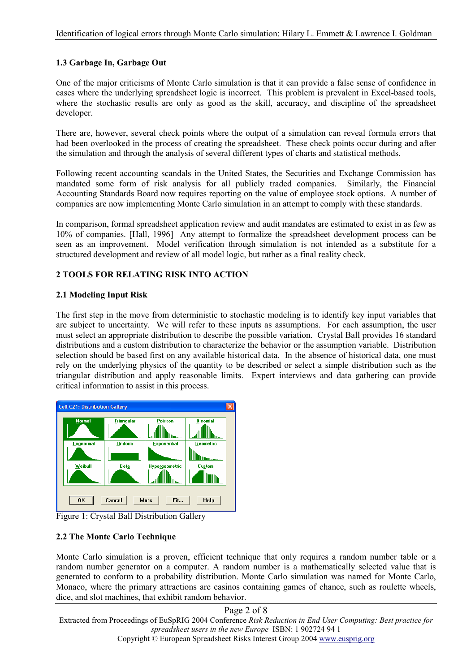# **1.3 Garbage In, Garbage Out**

One of the major criticisms of Monte Carlo simulation is that it can provide a false sense of confidence in cases where the underlying spreadsheet logic is incorrect. This problem is prevalent in Excel-based tools, where the stochastic results are only as good as the skill, accuracy, and discipline of the spreadsheet developer.

There are, however, several check points where the output of a simulation can reveal formula errors that had been overlooked in the process of creating the spreadsheet. These check points occur during and after the simulation and through the analysis of several different types of charts and statistical methods.

Following recent accounting scandals in the United States, the Securities and Exchange Commission has mandated some form of risk analysis for all publicly traded companies. Similarly, the Financial Accounting Standards Board now requires reporting on the value of employee stock options. A number of companies are now implementing Monte Carlo simulation in an attempt to comply with these standards.

In comparison, formal spreadsheet application review and audit mandates are estimated to exist in as few as 10% of companies. [Hall, 1996] Any attempt to formalize the spreadsheet development process can be seen as an improvement. Model verification through simulation is not intended as a substitute for a structured development and review of all model logic, but rather as a final reality check.

# **2 TOOLS FOR RELATING RISK INTO ACTION**

# **2.1 Modeling Input Risk**

The first step in the move from deterministic to stochastic modeling is to identify key input variables that are subject to uncertainty. We will refer to these inputs as assumptions. For each assumption, the user must select an appropriate distribution to describe the possible variation. Crystal Ball provides 16 standard distributions and a custom distribution to characterize the behavior or the assumption variable. Distribution selection should be based first on any available historical data. In the absence of historical data, one must rely on the underlying physics of the quantity to be described or select a simple distribution such as the triangular distribution and apply reasonable limits. Expert interviews and data gathering can provide critical information to assist in this process.



Figure 1: Crystal Ball Distribution Gallery

# **2.2 The Monte Carlo Technique**

Monte Carlo simulation is a proven, efficient technique that only requires a random number table or a random number generator on a computer. A random number is a mathematically selected value that is generated to conform to a probability distribution. Monte Carlo simulation was named for Monte Carlo, Monaco, where the primary attractions are casinos containing games of chance, such as roulette wheels, dice, and slot machines, that exhibit random behavior.

# Page 2 of 8

Extracted from Proceedings of EuSpRIG 2004 Conference *Risk Reduction in End User Computing: Best practice for spreadsheet users in the new Europe* ISBN: 1 902724 94 1

Copyright © European Spreadsheet Risks Interest Group 2004 www.eusprig.org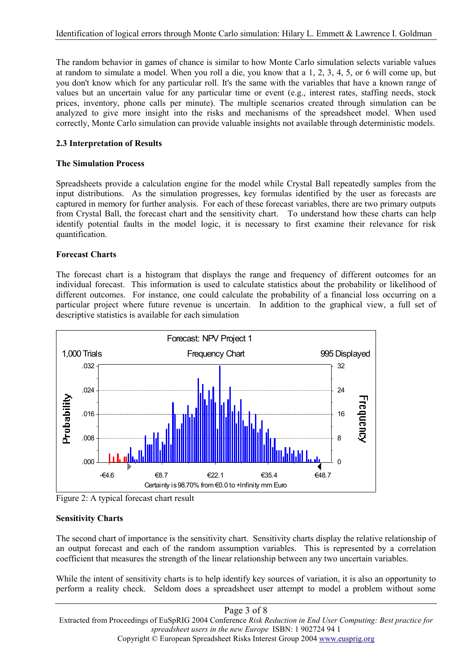The random behavior in games of chance is similar to how Monte Carlo simulation selects variable values at random to simulate a model. When you roll a die, you know that a 1, 2, 3, 4, 5, or 6 will come up, but you don't know which for any particular roll. It's the same with the variables that have a known range of values but an uncertain value for any particular time or event (e.g., interest rates, staffing needs, stock prices, inventory, phone calls per minute). The multiple scenarios created through simulation can be analyzed to give more insight into the risks and mechanisms of the spreadsheet model. When used correctly, Monte Carlo simulation can provide valuable insights not available through deterministic models.

# **2.3 Interpretation of Results**

#### **The Simulation Process**

Spreadsheets provide a calculation engine for the model while Crystal Ball repeatedly samples from the input distributions. As the simulation progresses, key formulas identified by the user as forecasts are captured in memory for further analysis. For each of these forecast variables, there are two primary outputs from Crystal Ball, the forecast chart and the sensitivity chart. To understand how these charts can help identify potential faults in the model logic, it is necessary to first examine their relevance for risk quantification.

#### **Forecast Charts**

The forecast chart is a histogram that displays the range and frequency of different outcomes for an individual forecast. This information is used to calculate statistics about the probability or likelihood of different outcomes. For instance, one could calculate the probability of a financial loss occurring on a particular project where future revenue is uncertain. In addition to the graphical view, a full set of descriptive statistics is available for each simulation



Figure 2: A typical forecast chart result

# **Sensitivity Charts**

The second chart of importance is the sensitivity chart. Sensitivity charts display the relative relationship of an output forecast and each of the random assumption variables. This is represented by a correlation coefficient that measures the strength of the linear relationship between any two uncertain variables.

While the intent of sensitivity charts is to help identify key sources of variation, it is also an opportunity to perform a reality check. Seldom does a spreadsheet user attempt to model a problem without some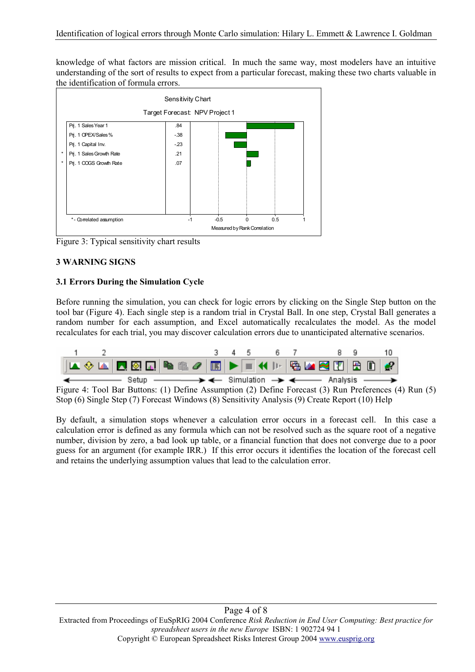knowledge of what factors are mission critical. In much the same way, most modelers have an intuitive understanding of the sort of results to expect from a particular forecast, making these two charts valuable in the identification of formula errors.



Figure 3: Typical sensitivity chart results

# **3 WARNING SIGNS**

# **3.1 Errors During the Simulation Cycle**

Before running the simulation, you can check for logic errors by clicking on the Single Step button on the tool bar (Figure 4). Each single step is a random trial in Crystal Ball. In one step, Crystal Ball generates a random number for each assumption, and Excel automatically recalculates the model. As the model recalculates for each trial, you may discover calculation errors due to unanticipated alternative scenarios.



Figure 4: Tool Bar Buttons: (1) Define Assumption (2) Define Forecast (3) Run Preferences (4) Run (5) Stop (6) Single Step (7) Forecast Windows (8) Sensitivity Analysis (9) Create Report (10) Help

By default, a simulation stops whenever a calculation error occurs in a forecast cell. In this case a calculation error is defined as any formula which can not be resolved such as the square root of a negative number, division by zero, a bad look up table, or a financial function that does not converge due to a poor guess for an argument (for example IRR.) If this error occurs it identifies the location of the forecast cell and retains the underlying assumption values that lead to the calculation error.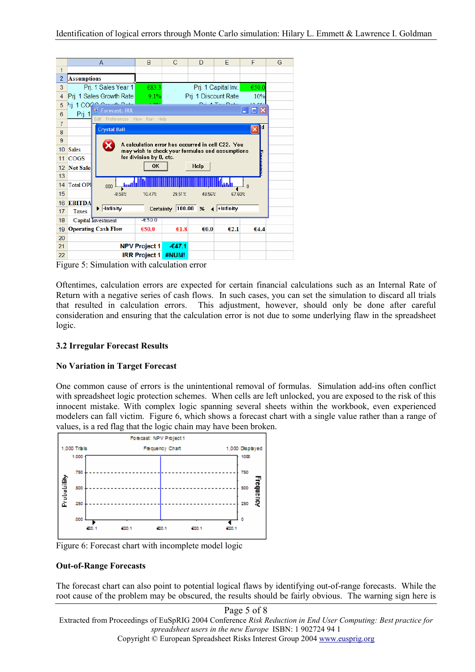|                |                                                                                                                                | A                                                | B                    | C                                 | D       | E              | F                      | G |  |  |  |  |  |
|----------------|--------------------------------------------------------------------------------------------------------------------------------|--------------------------------------------------|----------------------|-----------------------------------|---------|----------------|------------------------|---|--|--|--|--|--|
| 1              |                                                                                                                                |                                                  |                      |                                   |         |                |                        |   |  |  |  |  |  |
| $\overline{2}$ | <b>Assumptions</b>                                                                                                             |                                                  |                      |                                   |         |                |                        |   |  |  |  |  |  |
| 3              |                                                                                                                                | Pri. 1 Sales Year 1                              | €83.3                | Prj. 1 Capital Inv.<br>€50.0      |         |                |                        |   |  |  |  |  |  |
| 4              |                                                                                                                                | Prj. 1 Sales Growth Rate                         | 9.1%                 | Prj. 1 Discount Rate              |         |                |                        |   |  |  |  |  |  |
| 5              |                                                                                                                                | Prj. 1 COOC Comments                             |                      |                                   |         | Daily Tau Date | 0.001                  |   |  |  |  |  |  |
| 6              | Forecast: IRR<br>⊡∥×<br>Prj. 1<br>Edit Preferences View Run Help                                                               |                                                  |                      |                                   |         |                |                        |   |  |  |  |  |  |
| 7              |                                                                                                                                | Id                                               |                      |                                   |         |                |                        |   |  |  |  |  |  |
| 8              |                                                                                                                                | <b>Crystal Ball</b>                              |                      |                                   |         |                | $\vert\mathsf{x}\vert$ |   |  |  |  |  |  |
| 9              |                                                                                                                                |                                                  |                      |                                   |         |                |                        |   |  |  |  |  |  |
| 10             | A calculation error has occurred in cell C22. You<br>х<br><b>Sales</b><br>may wish to check your formulas and assumptions<br>п |                                                  |                      |                                   |         |                |                        |   |  |  |  |  |  |
| 11             | for division by 0, etc.<br><b>COGS</b>                                                                                         |                                                  |                      |                                   |         |                |                        |   |  |  |  |  |  |
| 12             | <b>Net Sale</b>                                                                                                                | <b>OK</b><br>Help                                |                      |                                   |         |                |                        |   |  |  |  |  |  |
| 13             |                                                                                                                                |                                                  |                      |                                   |         |                |                        |   |  |  |  |  |  |
| 14             | <b>Total OPI</b>                                                                                                               | <b>bool</b><br>$.000 -$                          |                      |                                   |         |                |                        |   |  |  |  |  |  |
| 15             |                                                                                                                                | $-8.58%$<br>67.60%<br>10.47%<br>29.51%<br>48.56% |                      |                                   |         |                |                        |   |  |  |  |  |  |
| 16             | <b>EBITDA</b>                                                                                                                  |                                                  |                      |                                   |         |                |                        |   |  |  |  |  |  |
| 17             | Taxes                                                                                                                          | $\blacktriangleright$ -Infinity                  |                      | Certainty 100.00 $%$ 4 + Infinity |         |                |                        |   |  |  |  |  |  |
| 18             |                                                                                                                                | Capital Investment                               | $-650.0$             |                                   |         |                |                        |   |  |  |  |  |  |
| 19             |                                                                                                                                | <b>Operating Cash Flow</b>                       | €50.0                | €1.8                              | € $0.0$ | €2.1           | €4.4                   |   |  |  |  |  |  |
| 20             |                                                                                                                                |                                                  |                      |                                   |         |                |                        |   |  |  |  |  |  |
| 21             |                                                                                                                                |                                                  | <b>NPV Project 1</b> | $-647.1$                          |         |                |                        |   |  |  |  |  |  |
| 22             | <b>IRR Project 1</b><br>#NUM!                                                                                                  |                                                  |                      |                                   |         |                |                        |   |  |  |  |  |  |

Figure 5: Simulation with calculation error

Oftentimes, calculation errors are expected for certain financial calculations such as an Internal Rate of Return with a negative series of cash flows. In such cases, you can set the simulation to discard all trials that resulted in calculation errors. This adjustment, however, should only be done after careful consideration and ensuring that the calculation error is not due to some underlying flaw in the spreadsheet logic.

# **3.2 Irregular Forecast Results**

# **No Variation in Target Forecast**

One common cause of errors is the unintentional removal of formulas. Simulation add-ins often conflict with spreadsheet logic protection schemes. When cells are left unlocked, you are exposed to the risk of this innocent mistake. With complex logic spanning several sheets within the workbook, even experienced modelers can fall victim. Figure 6, which shows a forecast chart with a single value rather than a range of values, is a red flag that the logic chain may have been broken.



Figure 6: Forecast chart with incomplete model logic

# **Out-of-Range Forecasts**

The forecast chart can also point to potential logical flaws by identifying out-of-range forecasts. While the root cause of the problem may be obscured, the results should be fairly obvious. The warning sign here is

Copyright © European Spreadsheet Risks Interest Group 2004 www.eusprig.org

Extracted from Proceedings of EuSpRIG 2004 Conference *Risk Reduction in End User Computing: Best practice for spreadsheet users in the new Europe* ISBN: 1 902724 94 1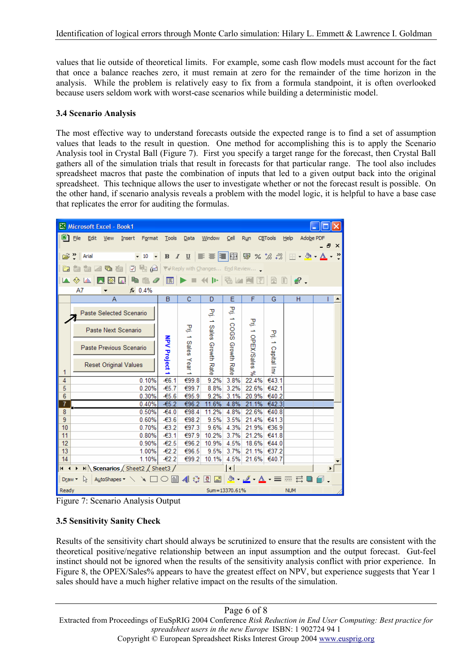values that lie outside of theoretical limits. For example, some cash flow models must account for the fact that once a balance reaches zero, it must remain at zero for the remainder of the time horizon in the analysis. While the problem is relatively easy to fix from a formula standpoint, it is often overlooked because users seldom work with worst-case scenarios while building a deterministic model.

#### **3.4 Scenario Analysis**

The most effective way to understand forecasts outside the expected range is to find a set of assumption values that leads to the result in question. One method for accomplishing this is to apply the Scenario Analysis tool in Crystal Ball (Figure 7). First you specify a target range for the forecast, then Crystal Ball gathers all of the simulation trials that result in forecasts for that particular range. The tool also includes spreadsheet macros that paste the combination of inputs that led to a given output back into the original spreadsheet. This technique allows the user to investigate whether or not the forecast result is possible. On the other hand, if scenario analysis reveals a problem with the model logic, it is helpful to have a base case that replicates the error for auditing the formulas.

| Microsoft Excel - Book1                                                                                                                                                                                                                                                                                                                                                                                                                                                                                     |                              |                         |                              |        |               |                                                               |                                 |                      |                |               |                                                                           |                |                                |  |      |
|-------------------------------------------------------------------------------------------------------------------------------------------------------------------------------------------------------------------------------------------------------------------------------------------------------------------------------------------------------------------------------------------------------------------------------------------------------------------------------------------------------------|------------------------------|-------------------------|------------------------------|--------|---------------|---------------------------------------------------------------|---------------------------------|----------------------|----------------|---------------|---------------------------------------------------------------------------|----------------|--------------------------------|--|------|
| 剛                                                                                                                                                                                                                                                                                                                                                                                                                                                                                                           | Eile                         | Edit                    | <b>View</b>                  | Insert |               | Format                                                        | Tools                           | Data                 | Window         | Cell          | Run                                                                       | CBTools        | Help<br>Adobe PDF              |  | a x  |
|                                                                                                                                                                                                                                                                                                                                                                                                                                                                                                             | <b>P</b> <sup>2</sup> Parial |                         |                              |        |               | $-10$<br>$\overline{\phantom{a}}$                             | $B$ $I$                         | $\mathbf{u}$         |                |               | $\equiv \equiv \equiv \boxed{2}$ $\boxed{3}$ $\approx$ 1.8 $\therefore$ 3 |                | $-2$ $A$                       |  | $\,$ |
|                                                                                                                                                                                                                                                                                                                                                                                                                                                                                                             |                              | JA.                     | 囁                            |        | 図画            | @                                                             | → Reply with Changes End Review |                      |                |               |                                                                           |                |                                |  |      |
|                                                                                                                                                                                                                                                                                                                                                                                                                                                                                                             | A O                          | <b>Little</b>           |                              |        | 輪             |                                                               | 幅                               |                      | 利世             | 验画图           | 手                                                                         | 璔              | $\mathbb{R}$<br>$\mathbb{R}$ . |  |      |
|                                                                                                                                                                                                                                                                                                                                                                                                                                                                                                             | A7                           |                         |                              |        |               | $f_x$ 0.4%                                                    |                                 |                      |                |               |                                                                           |                |                                |  |      |
|                                                                                                                                                                                                                                                                                                                                                                                                                                                                                                             | A                            |                         |                              |        |               | B                                                             | C                               | D                    | E              | F             | G                                                                         | н              |                                |  |      |
|                                                                                                                                                                                                                                                                                                                                                                                                                                                                                                             | Paste Selected Scenario      |                         |                              |        |               |                                                               |                                 | 모<br>÷,              | 모<br>∸         |               |                                                                           |                |                                |  |      |
|                                                                                                                                                                                                                                                                                                                                                                                                                                                                                                             | Paste Next Scenario          |                         |                              |        |               |                                                               |                                 | 몰<br>∸               | Sales          | SOOS          | 횑                                                                         | 몰              |                                |  |      |
|                                                                                                                                                                                                                                                                                                                                                                                                                                                                                                             |                              | Paste Previous Scenario |                              |        | NPV Project 1 | Sales                                                         | <b>Growth Rate</b>              | Growth               | 1 OPEX/Sales   | 1 Capital Inv |                                                                           |                |                                |  |      |
| 1                                                                                                                                                                                                                                                                                                                                                                                                                                                                                                           |                              |                         | <b>Reset Original Values</b> |        |               |                                                               |                                 | Year <sub>1</sub>    |                | Rate          | S.                                                                        |                |                                |  |      |
| 4                                                                                                                                                                                                                                                                                                                                                                                                                                                                                                           | 0.10%                        |                         |                              |        |               |                                                               | $-66.1$                         | €99.8                | 9.2%           | 3.8%          | 22.4%                                                                     | €43.1          |                                |  |      |
|                                                                                                                                                                                                                                                                                                                                                                                                                                                                                                             | 5<br>0.20%                   |                         |                              |        |               |                                                               | $-65.7$                         | €99.7                | 8.8%           | 3.2%          | 22.6%                                                                     | €42.1          |                                |  |      |
|                                                                                                                                                                                                                                                                                                                                                                                                                                                                                                             | 6<br>0.30%                   |                         |                              |        | -€5.6         | €95.9                                                         | 9.2%                            | 3.1%                 | 20.9%          | €40.2         |                                                                           |                |                                |  |      |
| $\overline{1}$<br>8                                                                                                                                                                                                                                                                                                                                                                                                                                                                                         | 0.40%<br>0.50%               |                         |                              |        |               |                                                               | $-65.2$<br>$-64.0$              | €96.2<br>€98.4       | 11.6%<br>11.2% | 4.8%<br>4.8%  | 21.1%<br>22.6%                                                            | €42.3<br>€40.8 |                                |  |      |
| 9                                                                                                                                                                                                                                                                                                                                                                                                                                                                                                           | 0.60%                        |                         |                              |        |               |                                                               | $-63.6$                         | €98.2                | 9.5%           | 3.5%          | 21.4%                                                                     | €41.3          |                                |  |      |
| 10                                                                                                                                                                                                                                                                                                                                                                                                                                                                                                          | 0.70%                        |                         |                              |        |               |                                                               | $-63.2$                         | €97.3                | 9.6%           | 4.3%          | 21.9%                                                                     | €36.9          |                                |  |      |
| 11                                                                                                                                                                                                                                                                                                                                                                                                                                                                                                          | 0.80%                        |                         |                              |        |               |                                                               | $-63.1$                         | €97.9                | 10.2%          | 3.7%          | 21.2%                                                                     | €41.8          |                                |  |      |
| 12                                                                                                                                                                                                                                                                                                                                                                                                                                                                                                          | 0.90%                        |                         |                              |        |               |                                                               | $-62.5$                         | €96.2                | 10.9%          | 4.5%          | 18.6%                                                                     | €44.0          |                                |  |      |
| 13                                                                                                                                                                                                                                                                                                                                                                                                                                                                                                          |                              | 1.00%                   |                              |        |               |                                                               |                                 | €96.5                | 9.5%           | 3.7%          | 21.1%                                                                     | €37.2          |                                |  |      |
| 14                                                                                                                                                                                                                                                                                                                                                                                                                                                                                                          |                              |                         |                              |        |               | 1.10%                                                         | $-62.2$                         | €99.2                | 10.1%          | 4.5%          | 21.6%                                                                     | €40.7          |                                |  |      |
| $\mathsf{N}\setminus\mathsf{Scenarios}\big/\mathsf{Sheet2}\big/\mathsf{Sheet3}\big/\mathsf{Sheet3}\big/\mathsf{Sheet3}\big/\mathsf{Sheet3}\big/\mathsf{Sheet3}\big/\mathsf{Sheet3}\big/\mathsf{Sheet3}\big/\mathsf{Sheet3}\big/\mathsf{Sheet3}\big/\mathsf{Sheet3}\big/\mathsf{Sheet3}\big/\mathsf{Sheet3}\big/\mathsf{Sheet3}\big/\mathsf{Sheet3}\big/\mathsf{Sheet3}\big/\mathsf{Sheet3}\big/\mathsf{Sheet3}\big/\mathsf{Sheet3}\big/\mathsf{Sheet3}\big/\mathsf{She$<br>$14 - 4$<br>$\blacktriangleleft$ |                              |                         |                              |        |               |                                                               |                                 |                      |                |               |                                                                           |                |                                |  |      |
| Draw -                                                                                                                                                                                                                                                                                                                                                                                                                                                                                                      |                              | Iж.                     |                              |        |               | AutoShapes $\mathbf{v} \setminus \mathbf{a} \square \bigcirc$ | 圖                               | $\blacktriangleleft$ |                |               | <u>Ø</u> Ø∣ô∙-∠⁄-Al-≡≡                                                    |                | 弖                              |  |      |
| Ready<br>Sum=13370.61%<br><b>NUM</b>                                                                                                                                                                                                                                                                                                                                                                                                                                                                        |                              |                         |                              |        |               |                                                               |                                 |                      |                |               |                                                                           |                |                                |  |      |

Figure 7: Scenario Analysis Output

# **3.5 Sensitivity Sanity Check**

Results of the sensitivity chart should always be scrutinized to ensure that the results are consistent with the theoretical positive/negative relationship between an input assumption and the output forecast. Gut-feel instinct should not be ignored when the results of the sensitivity analysis conflict with prior experience. In Figure 8, the OPEX/Sales% appears to have the greatest effect on NPV, but experience suggests that Year 1 sales should have a much higher relative impact on the results of the simulation.

Page 6 of 8 Extracted from Proceedings of EuSpRIG 2004 Conference *Risk Reduction in End User Computing: Best practice for spreadsheet users in the new Europe* ISBN: 1 902724 94 1 Copyright © European Spreadsheet Risks Interest Group 2004 www.eusprig.org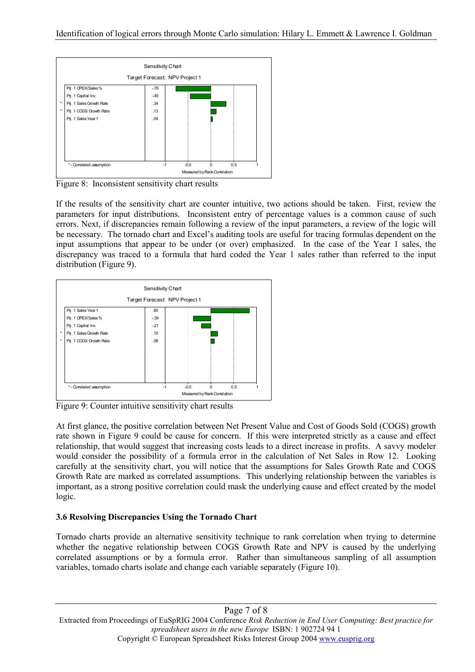

Figure 8: Inconsistent sensitivity chart results

If the results of the sensitivity chart are counter intuitive, two actions should be taken. First, review the parameters for input distributions. Inconsistent entry of percentage values is a common cause of such errors. Next, if discrepancies remain following a review of the input parameters, a review of the logic will be necessary. The tornado chart and Excel's auditing tools are useful for tracing formulas dependent on the input assumptions that appear to be under (or over) emphasized. In the case of the Year 1 sales, the discrepancy was traced to a formula that hard coded the Year 1 sales rather than referred to the input distribution (Figure 9).



Figure 9: Counter intuitive sensitivity chart results

At first glance, the positive correlation between Net Present Value and Cost of Goods Sold (COGS) growth rate shown in Figure 9 could be cause for concern. If this were interpreted strictly as a cause and effect relationship, that would suggest that increasing costs leads to a direct increase in profits. A savvy modeler would consider the possibility of a formula error in the calculation of Net Sales in Row 12. Looking carefully at the sensitivity chart, you will notice that the assumptions for Sales Growth Rate and COGS Growth Rate are marked as correlated assumptions. This underlying relationship between the variables is important, as a strong positive correlation could mask the underlying cause and effect created by the model logic.

# **3.6 Resolving Discrepancies Using the Tornado Chart**

Tornado charts provide an alternative sensitivity technique to rank correlation when trying to determine whether the negative relationship between COGS Growth Rate and NPV is caused by the underlying correlated assumptions or by a formula error. Rather than simultaneous sampling of all assumption variables, tornado charts isolate and change each variable separately (Figure 10).